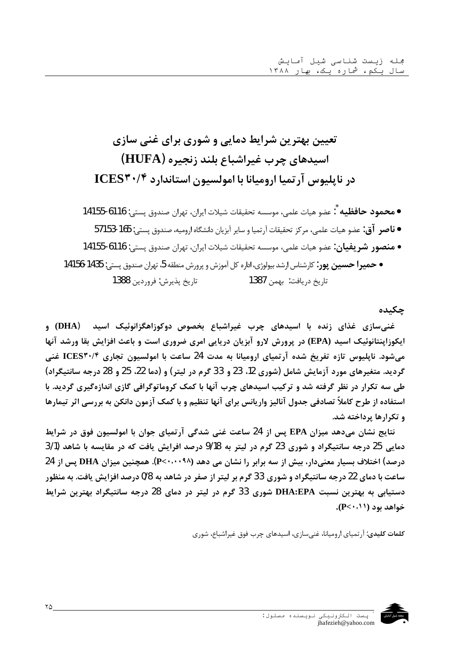# تعیین بهترین شرایط دمایی و شوری برای غنی سازی اسیدهای چرب غیراشباع بلند زنجیره (HUFA) در ناپلیوس آرتمیا ارومیانا با امولسیون استاندارد ICES۳۰/۴

## چکىدە

غنیسازی غذای زنده با اسیدهای چرب غیراشباع بخصوص دوکوزاهگزانوئیک اسید (DHA) و ایکوزاپنتانوئیک اسید (EPA) در پرورش لارو آبزیان دریایی امری ضروری است و باعث افزایش بقا ورشد آنها میشود. ناپلیوس تازه تفریخ شده آرتمیای ارومیانا به مدت 24 ساعت با امولسیون تجاری ICES۳۰/۴ غنی گرديد. متغيرهاي مورد آزمايش شامل (شوري 12، 23 و 33 گرم در ليتر) و (دما 22، 25 و 28 درجه سانتيگراد) طی سه تکرار در نظر گرفته شد و ترکیب اسیدهای چرب آنها با کمک کروماتوگرافی گازی اندازهگیری گردید. با استفاده از طرح کاملاً تصادفی جدول آنالیز واریانس برای آنها تنظیم و با کمک آزمون دانکن به بررسی اثر تیمارها و تکرارها پرداخته شد.

نتایج نشان میدهد میزان EPA پس از 24 ساعت غنی شدگی آرتمیای جوان با امولسیون فوق در شرایط دمايي 25 درجه سانتيگراد و شوري 23 گرم در ليتر به 9/18 درصد افرايش يافت كه در مقايسه با شاهد (3/1 درصد) اختلاف بسیار معنیدار، بیش از سه برابر را نشان می دهد (۹۸٬۰۰۰۹۸). همچنین میزان DHA پس از 24 ساعت با دمای 22 درجه سانتیگراد و شوری 33 گرم بر لیتر از صفر در شاهد به 0/8 درصد افزایش یافت. به منظور دستیابی به بهترین نسبت DHA:EPA شوری 33 گرم در لیتر در دمای 28 درجه سانتیگراد بهترین شرایط  $(P<\cdot, \wedge)$  خواهد بود

**کلمات کلیدی**: آر تمیای ارومیانا، غنیسازی، اسیدهای چرب فوق غیراشباع، شوری

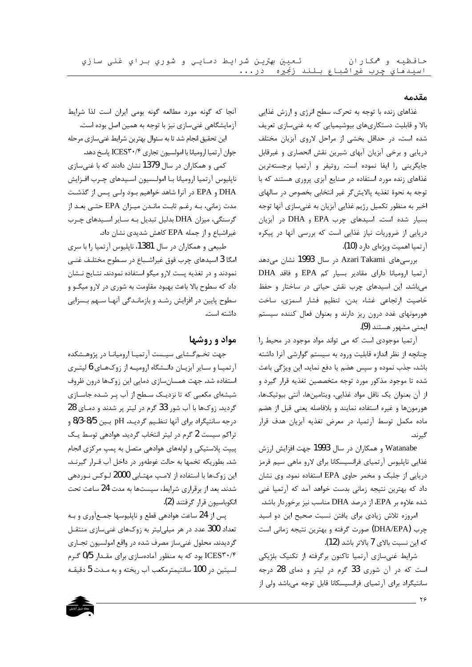#### مقدمه

غذاهای زنده با توجه به تحرک، سطح انرژی و ارزش غذایی بالا و قابلیت دستکاریهای بیوشیمیایی که به غنیسازی تعریف شده است، در حداقل بخشی از مراحل لاروی آبزیان مختلف دریایی و برخی آبزیان آبهای شیرین نقش انحصاری و غیرقابل جایگرینی را ایفا نموده است. روتیفر و آرتمیا برجستهترین غذاهای زنده مورد استفاده در صنایع آبزی پروری هستند که با توجه به نحوهٔ تغذیه پالایش گر غیر انتخابی بخصوص در سالهای اخير به منظور تكميل رژيم غذايي آبزيان به غنيسازي آنها توجه بسیار شده است. اسیدهای چرب EPA و DHA در آبزیان دریایی از ضروریات نیاز غذایی است که بررسی آنها در پیکره آر تميا اهميت ويژهاي دارد (10).

بررسی،های Azari Takami در سال 1993 نشان میدهد آرتميا اروميانا داراى مقادير بسيار كم EPA وفاقد DHA میباشد. این اسیدهای چرب نقش حیاتی در ساختار و حفظ خاصيت ارتجاعي غشاء بدن، تنظيم فشار اسمزى، ساخت هورمونهای غدد درون ریز دارند و بعنوان فعال کننده سیستم ایمنے مشهور هستند (9).

آرتمیا موجودی است که می تواند مواد موجود در محیط را چنانچه از نظر اندازه قابلیت ورود به سیستم گوارشی آنرا داشته باشد، جذب نموده و سپس هضم یا دفع نماید. این ویژگی باعث شده تا موجود مذکور مورد توجه متخصصین تغذیه قرار گیرد و از آن بعنوان یک ناقل مواد غذایی، ویتامینها، آنتی بیوتیکها، هورمونها و غیره استفاده نمایند و بلافاصله یعنی قبل از هضم ماده مکمل توسط آرتمیا، در معرض تغذیه آبزیان هدف قرار گيرند.

Watanabe و همکاران در سال 1993 جهت افزایش ارزش غذایی ناپلیوس آرتمیای فرانسیسکانا برای لارو ماهی سیم قرمز دریایی از جلبک و مخمر حاوی EPA استفاده نمود. وی نشان داد که بهترین نتیجه زمانی بدست خواهد آمد که آرتمیا غنی شده علاوه بر EPA، از درصد DHA مناسب نیز برخوردار باشد.

امروزه تلاش زیادی برای یافتن نسبت صحیح این دو اسید چرب (DHA/EPA) صورت گرفته و بهترین نتیجه زمانی است كه ابن نسبت بالاي 7 بالاتر باشد (12).

شرایط غنیسازی آرتمیا تاکنون برگرفته از تکنیک بلژیکی است که در آن شوری 33 گرم در لیتر و دمای 28 درجه سانتیگراد برای آرتمیای فرانسیسکانا قابل توجه میباشد ولی از

أنجا که گونه مورد مطالعه گونه بومی ایران است لذا شرایط آزمایشگاهی غنیسازی نیز با توجه به همین اصل بوده است.

این تحقیق انجام شد تا به سئوال بهترین شرایط غنیسازی مرحله جوان آرتميا اروميانا با امولسيون تجاري ICES۳۰/۴ پاسخ دهد.

کمی و همکاران در سال 1379 نشان دادند که با غنیسازی ناپلیوس آرتمیا ارومیانا بـا امولـسیون اسـیدهای چـرب افـزایش DHA و EPA در آنرا شاهد خواهیم بـود ولـی پـس از گذشـت مدت زمانی، بـه رغـم ثابـت مانـدن میـزان EPA حتـی بعـد از گرسنگی، میزان DHA بدلیل تبدیل به سایر اسیدهای چرب غیراشباع و از جمله EPA کاهش شدیدی نشان داد.

طبیعی و همکاران در سال 1381، ناپلیوس آرتمیا را با سری امگا 3 اسیدهای چرب فوق غیراشـباع در سـطوح مختلـف غنـی نمودند و در تغذیه پست لارو میگو استفاده نمودند. نتـایج نــشان داد که سطوح بالا باعث بهبود مقاومت به شوری در لارو میگــو و سطوح پایین در افزایش رشـد و بازمانـدگی آنهـا سـهم بـسزایی داشته است.

## مواد و روشها

جهت تخـم گــشايي سيــست آرتميــا اروميانــا در پژوهــشكده آرتمیـا و سـایر آبزیـان دانـشگاه ارومیـه از زوکهـای 6 لیتـری استفاده شد. جهت همسانسازي دمايي اين زوكها درون ظروف شیشهای مکعبی که تا نزدیـک سـطح از آب پـر شـده جاسـازی گرديد. زوكها با آب شور 33 گرم در ليتر پر شدند و دمـاي 28 درجه سانتیگراد برای آنها تنظـیم گردیـد. pH بـین 8/3-8/5 و تراکم سیست 2 گرم در لیتر انتخاب گردید. هوادهی توسط یک پیپت پلاستیکی و لولههای هوادهی متصل به پمپ مرکزی انجام شد. بطوریکه تخمها به حالت غوطهور در داخل آب قـرار گیرنـد. این زوکها با استفاده از لامپ مهتـابی 2000 لـوکس نـوردهی شدند. بعد از برقراری شرایط، سیستها به مدت 24 ساعت تحت انكوباسيون قرار گرفتند (2).

پس از 24 ساعت هوادهی قطع و ناپلیوسها جمعآوری و بـه تعداد 300 عدد در هر میلیلیتر به زوکهای غنیسازی منتقـل گرديدند. محلول غني ساز مصرف شده در واقع امولسيون تجــاري ICES۳۰/۴ بود که به منظور آمادهسازی برای مقـدار 0/5 گـرم لسيتين در 100 سانتيمترمكعب آب ريخته و به مـدت 5 دقيقـه

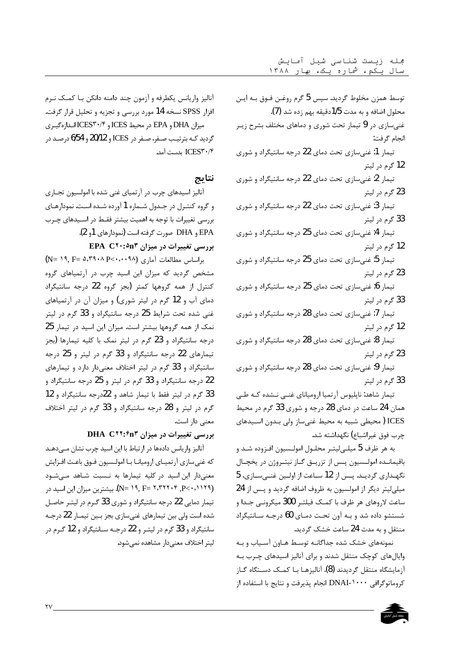توسط همزن مخلوط گرديد. سپس 5 گرم روغـن فـوق بـه ايـن محلول اضافه و به مدت 1/5دقیقه بهم زده شد (7). غنیسازی در 9 تیمار تحت شوری و دماهای مختلف بشرح زیـر انجام گرفت: تیمار 1: غنیسازی تحت دمای 22 درجه سانتیگراد و شوری 12 گرم در ليتر تیمار 2: غنی سازی تحت دمای 22 درجه سانتیگراد و شوری 23 گرم در ليتر تیمار 3: غنی سازی تحت دمای 22 درجه سانتیگراد و شوری 33 گرم در ليتر تیمار 4: غنیسازی تحت دمای 25 درجه سانتیگراد و شوری 12 گرم در لیتر تیمار 5: غنی سازی تحت دمای 25 درجه سانتیگراد و شوری 23 گرم در ليتر تیمار 6: غنیسازی تحت دمای 25 درجه سانتیگراد و شوری

33 گرم در ليتر

تیمار 7: غنی سازی تحت دمای 28 درجه سانتیگراد و شوری 12 گرم در ليتر

تیمار 8: غنیسازی تحت دمای 28 درجه سانتیگراد و شوری 23 گرم در ليتر

تیمار 9: غنیسازی تحت دمای 28 درجه سانتیگراد و شوری 33 گرم در ليتر

تیمار شاهد: ناپلیوس آر تمیا ارومیانای غنبی نـشده کـه طـی همان 24 ساعت در دمای 28 درجه و شوری 33 گرم در محیط ICES (محیطی شبیه به محیط غنی ساز ولی بـدون اسـیدهای چرب فوق غيراشباع) نگهداشته شد.

به هر ظرف 5 میلـیلیتـر محلـول امولـسیون افـزوده شـد و باقیمانـده امولـسیون پـس از تزریـق گـاز نیتـروژن در یخچـال نگهـداري گرديـد. پـس از 12 سـاعت از اولـين غنـيسـازي، 5 میلی لیتر دیگر از امولسیون به ظروف اضافه گردید و پس از 24 ساعت لاروهای هر ظرف با کمک فیلتـر 300 میکرونـی جـدا و شستشو داده شد و بـه آون تحـت دمـای 60 درجـه سـانتیگراد منتقل و به مدت 24 ساعت خشک گردید.

نمونههای خشک شده جداگانـه توسـط هـاون آسـیاب و بـه وایالهای کوچک منتقل شدند و برای آنالیز اسیدهای چـرب بـه آزمایشگاه منتقل گردیدند (8). آنالیزهـا بــا کمــک دســتگاه گــاز كروماتوگرافي DNAI-۱۰۰۰ انجام پذيرفت و نتايج با استفاده از

آنالیز واریانس یکطرفه و آزمون چند دامنه دانکن بـا کمـک نـرم افزار SPSS نسخه 14 مورد بررسي و تجزيه و تحليل قرار گرفت. ميزان DHA و EPA در محيط ICES و ICES۳۰/۴ انـدازهگيـري گردید کـه بترتیـب صـفر، صـفر در ICES و 20/12 و 6/54 درصـد در ICES۳۰/۴ بدست آمد.

## نتايج

آنالیز اسیدهای چرب در آرتمیای غنی شده با امولسیون تجـاری و گروه کنتـرل در جـدول شـماره 1 آورده شـده اسـت. نمودارهـای بررسی تغییرات با توجه به اهمیت بیشتر فقـط در اسـیدهای چـرب EPA و DHA صورت گرفته است (نمودارهای 1و 2).

بررسی تغییرات در میزان EPA C۲۰:۵n۳

براساس مطالعات آماری (N= ١٩, F= ٥,٣٩٠٨ P<٠,٠٠٩٨ مشخص گردید که میزان این اسید چرب در آرتمیاهای گروه كنترل از همه گروهها كمتر (بجز گروه 22 درجه سانتيگراد دمای آب و 12 گرم در لیتر شوری) و میزان آن در آرتمیاهای غنی شده تحت شرایط 25 درجه سانتیگراد و 33 گرم در لیتر نمک از همه گروهها بیشتر است. میزان این اسید در تیمار 25 درجه سانتیگراد و 23 گرم در لیتر نمک با کلیه تیمارها (بجز تیمارهای 22 درجه سانتیگراد و 33 گرم در لیتر و 25 درجه سانتیگراد و 33 گرم در لیتر اختلاف معنیدار دارد و تیمارهای 22 درجه سانتیگراد و 33 گرم در لیتر و 25 درجه سانتیگراد و 33 گرم در لیتر فقط با تیمار شاهد و 22درجه سانتیگراد و 12 گرم در ليتر و 28 درجه سانتيگراد و 33 گرم در ليتر اختلاف معنے دار است.

### بررسی تغییرات در میزان DHA C۲۲:۴n۳

آنالیز واریانس دادهها در ارتباط با این اسید چرب نشان مےدهـد كه غني سازي آرتميـاي اروميانـا بـا امولـسيون فـوق باعـث افـزايش .<br>معنیدار این اسید در کلیه تیمارها به نـسبت شـاهد مـیشـود (N= ۱۹, F= ۲,۳۲۲۰۴ ,P<۰,۱۱۲۹). بیشترین میزان این اسید در تیمار دمایی 22 درجه سانتیگراد و شوری 33 گـرم در لیتـر حاصـل شده است ولي بين تيمارهاي غني سازي بجز بـين تيمـار 22 درجـه سانتیگراد و 33 گرم در لیتـر و 22 درجـه سـانتیگراد و 12 گـرم در ليتر اختلاف معنى دار مشاهده نمى شود.

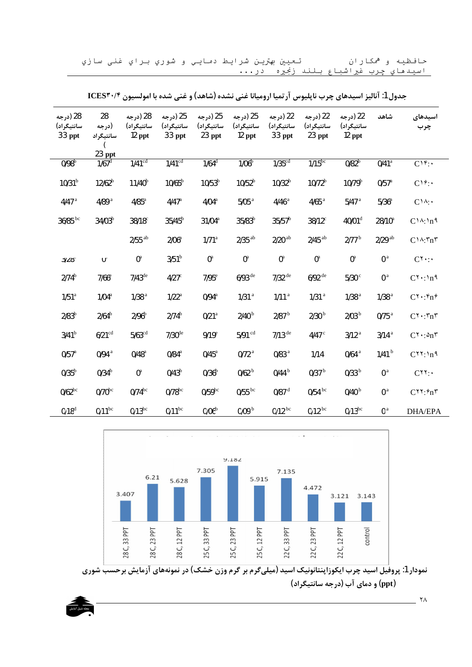حافظیه و همکاران تعيين بهترين شرايط دمايي و شوري براي غني سازي اسيدهاي چرب غيراشباع بلند زنجيره در...

| 28 (درجه<br>سانتيگراد)<br>33 ppt | 28<br>(درجه<br>سانتيگراد      | 28 (درجه<br>سانتيگراد)<br>$12$ ppt | 25 (درجه<br>سانتيگراد)<br>33 ppt | 25 (درجه<br>سانتيگراد)<br>$23$ ppt | 25 (درجه<br>سانتيگراد)<br>$12$ ppt | 22 (درجه<br>سانتيگراد)<br>33 ppt | 22 (درجه<br>سانتيگراد)<br>23 ppt | 22 (درجه<br>سانتيگراد)<br>$12$ ppt | شاهد                 | اسيدهاى<br>چرب                               |
|----------------------------------|-------------------------------|------------------------------------|----------------------------------|------------------------------------|------------------------------------|----------------------------------|----------------------------------|------------------------------------|----------------------|----------------------------------------------|
| 0/98 <sup>b</sup>                | 23 ppt<br>$1/67$ <sup>d</sup> | $1/41^{cd}$                        | $1/41^{cd}$                      | $1/64$ <sup>d</sup>                | 1/06 <sup>b</sup>                  | $1/35$ <sup>cd</sup>             | $1/15^{bc}$                      | 0/82 <sup>b</sup>                  | $0/41$ <sup>a</sup>  | $C1f$ :                                      |
|                                  |                               |                                    |                                  |                                    |                                    |                                  |                                  |                                    |                      |                                              |
| 10/31 <sup>b</sup>               | $12/62^b$                     | $11/40^{b}$                        | $10/65^{\rm b}$                  | $10/53^{b}$                        | 10/52 <sup>b</sup>                 | 10/32 <sup>b</sup>               | $10/72^{b}$                      | $10/79^{b}$                        | $0/57$ <sup>a</sup>  | C19:                                         |
| $4/47$ <sup>a</sup>              | 4/89 $a$                      | $4/85$ <sup>a</sup>                | $4/47$ <sup>a</sup>              | 4/04 <sup>a</sup>                  | $5/05$ <sup>a</sup>                | $4/46$ <sup>a</sup>              | $4/65$ <sup>a</sup>              | $5/47$ <sup>a</sup>                | 5/36 <sup>a</sup>    | $C1A$ :                                      |
| $36/85$ <sup>bc</sup>            | $34/03^{b}$                   | $38/18$ <sup>c</sup>               | $35/45^{b}$                      | $31/04^a$                          | $35/83^{b}$                        | $35/57^b$                        | $38/12$ <sup>c</sup>             | 40/01 <sup>d</sup>                 | $28/10^a$            | $C_1 \wedge \cdot \cdot \cdot$               |
|                                  |                               | $2/55$ <sup>ab</sup>               | 2/06 <sup>a</sup>                | 1/71 <sup>a</sup>                  | $2/35$ <sup>ab</sup>               | $2/20$ <sup>ab</sup>             | $2/45$ <sup>ab</sup>             | 2/77 <sup>b</sup>                  | $2/29$ <sup>ab</sup> | $C_1 \wedge T_n$                             |
| 31/8                             | $\mathsf{U}^\neg$             | $0^{\rm a}$                        | 3/51 <sup>b</sup>                | $0^{\mathrm{a}}$                   | $0^{\rm a}$                        | $0^{\rm a}$                      | $0^{\mathrm{a}}$                 | $0^{\rm a}$                        | 0 <sup>a</sup>       | $C^{\gamma}$ :                               |
| $2/74^b$                         | $7/66$ <sup>e</sup>           | $7/43^{\text{de}}$                 | $4/27$ <sup>c</sup>              | $7/95$ <sup>e</sup>                | $6/93$ <sup>de</sup>               | $7/32$ <sup>de</sup>             | $6/92$ <sup>de</sup>             | $5/30$ $^{\circ}$                  | 0 <sup>a</sup>       | $C^{\gamma}$ : \n <sup>9</sup>               |
| 1/51 <sup>a</sup>                | 1/04 <sup>a</sup>             | 1/38 <sup>a</sup>                  | $1/22$ <sup>a</sup>              | $0/94$ <sup>a</sup>                | 1/31 <sup>a</sup>                  | 1/11 <sup>a</sup>                | 1/31 <sup>a</sup>                | 1/38 <sup>a</sup>                  | 1/38 <sup>a</sup>    | $C^{\gamma}$ . $\mathfrak{e}_n\mathfrak{e}$  |
| 2/83 <sup>b</sup>                | $2/64^b$                      | 2/96 <sup>b</sup>                  | $2/74^{b}$                       | 0/21 <sup>a</sup>                  | 2/40 <sup>b</sup>                  | 2/87 <sup>b</sup>                | 2/30 <sup>b</sup>                | 2/03 <sup>b</sup>                  | $0/75$ <sup>a</sup>  | $C^{\gamma}$ . $\eta \eta^{\gamma}$          |
| 3/41 <sup>b</sup>                | $6/21$ <sup>cd</sup>          | $5/63^{cd}$                        | $7/30$ <sup>de</sup>             | $9/19$ <sup>e</sup>                | $5/91$ cd                          | $7/13$ <sup>de</sup>             | 4/47 $\degree$                   | 3/12 <sup>a</sup>                  | 3/14 <sup>a</sup>    | $C^{\gamma}$ . $\Delta_n$                    |
| $0/57$ <sup>a</sup>              | $0/94$ <sup>a</sup>           | $0/48$ <sup>a</sup>                | $0/84$ <sup>a</sup>              | $0/45$ <sup>a</sup>                | 0/72 <sup>a</sup>                  | $0/83$ <sup>a</sup>              | 1/14                             | $0/64$ <sup>a</sup>                | 1/41 <sup>b</sup>    | $C^{\gamma\gamma}$ : $\ln$ 9                 |
| 0/35 <sup>b</sup>                | 0/34 <sup>b</sup>             | $0^{\mathrm{a}}$                   | $0/43^b$                         | 0/36 <sup>b</sup>                  | 0/62 <sup>b</sup>                  | 0/44 <sup>b</sup>                | 0/37 <sup>b</sup>                | 0/33 <sup>b</sup>                  | 0 <sup>a</sup>       | $C^{\gamma\gamma}$ :                         |
| $0/62^{bc}$                      | $0/70$ bc                     | $0/74^{bc}$                        | $0/78$ bc                        | $0/59^{bc}$                        | $0/55$ <sup>bc</sup>               | $0/87$ <sup>d</sup>              | $0/54$ bc                        | 0/40 <sup>b</sup>                  | 0 <sup>a</sup>       | $C^{\gamma\gamma}$ : $\hat{\tau}$ n $\gamma$ |
| 0/18 <sup>d</sup>                | $0/11^{bc}$                   | $0/13^{bc}$                        | $0/11^{bc}$                      | 0/06 <sup>b</sup>                  | 0/09 <sup>b</sup>                  | $0/12^{bc}$                      | $0/12^{bc}$                      | $0/13^{bc}$                        | 0 <sup>a</sup>       | <b>DHA/EPA</b>                               |

جدول 1: آنالیز اسیدهای چرب ناپلیوس آرتمیا ارومیانا غنی نشده (شاهد) و غنی شده با امولسیون ICES۳۰/۴





 $\overline{\phantom{0}}$   $\overline{\phantom{0}}$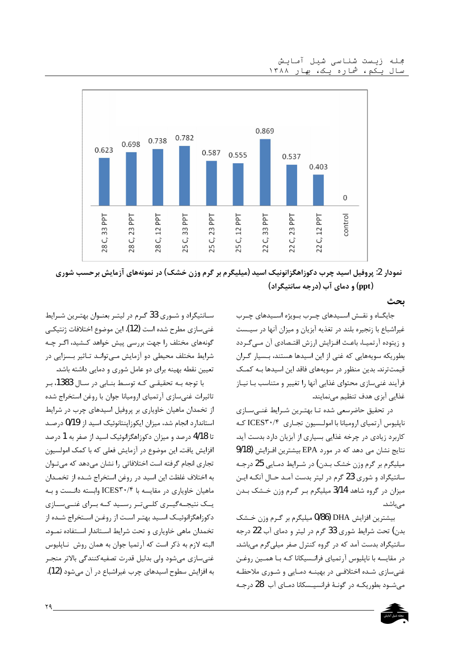

نمودار 2: پروفیل اسید چرب دکوزاهگزانونیک اسید (میلیگرم بر گرم وزن خشک) در نمونههای آزمایش برحسب شوری (ppt) و دمای آب (درجه سانتیگراد)

ىحث

جایگـاه و نقـش اسـیدهای چـرب بـویژه اسـیدهای چـرب غیراشباع با زنجیره بلند در تغذیه آبزیان و میزان آنها در سیـست و زیتوده آرتمیـا، باعـث افـزایش ارزش اقتـصادی آن مــی گـردد بطوریکه سویههایی که غنی از این اسیدها هستند، بـسیار گـران قیمت ترند. بدین منظور در سویههای فاقد این اسیدها بـه کمـک فرآیند غنیسازی محتوای غذایی آنها را تغییر و متناسب بـا نیـاز غذایی آبزی هدف تنظیم مینمایند.

در تحقیق حاضرسعی شده تـا بهتـرین شـرایط غنـیسـازی ناپلیوس آرتمیای ارومیانا با امولـسیون تجـاری ICES۳۰/۴ کـه کاربرد زیادی در چرخه غذایی بسیاری از آبزیان دارد بدست آید. نتايج نشان مي دهد كه در مورد EPA بيشترين افـزايش (9/18 میلیگرم بر گرم وزن خشک بـدن) در شـرایط دمـایی 25 درجـه سانتيگراد و شوري 23 گرم در ليتر بدست آمـد حـال آنكـه ايـن میزان در گروه شاهد 3/14 میلیگرم بر گرم وزن خشک بدن مے باشد.

بیشترین افزایش DHA (0/86 میلیگرم بر گرم وزن خــشک بدن) تحت شرایط شوری 33 گرم در لیتر و دمای آب 22 درجه سانتیگراد بدست آمد که در گروه کنترل صفر میلیگرم میباشد. در مقایسه با ناپلیوس آرتمیای فرانـسیکانا کـه بـا همــین روغـن غنی سازی شـده اختلافـی در بهینـه دمـایی و شـوری ملاحظـه میشود بطوریکه در گونهٔ فرانسیسکانا دمای آب 28 درجه

سـانتيگراد و شـوري 33 گـرم در ليتـر بعنـوان بهتـرين شـرايط غني سازي مطرح شده است (12). اين موضوع اختلافات ژنتيكـي گونههای مختلف ,ا جهت بررسی پیش خواهد کــشید، اگـر چـه شرایط مختلف محیطی دو آزمایش مـیتوانـد تـاثیر بـسزایی در تعیین نقطه بهینه برای دو عامل شوری و دمایی داشته باشد.

با توجه بـه تحقيقـي كـه توسـط بنـابي در سـال 1383، بـر تاثیرات غنیسازی آرتمیای ارومیانا جوان با روغن استخراج شده از تخمدان ماهیان خاویاری بر پروفیل اسیدهای چرب در شرایط استاندارد انجام شد، میزان ایکوزاینتانوئیک اسید از 0/19 درصد تا 4/18 درصد و میزان دکوزاهگزانوئیک اسید از صفر به 1 درصد افزایش یافت. این موضوع در آزمایش فعلی که با کمک امولسیون تجاری انجام گرفته است اختلافاتی را نشان میدهد که می تـوان به اختلاف غلظت این اسید در روغن استخراج شـده از تخمـدان ماهیان خاویاری در مقایسه با ICES۳۰/۴ وابسته دانـست و بـه یــک نتیجــهگیــری کلــیتــر رســید کــه بــرای غنــیســازی دکو;اهگزانوئیک اسـید بهتـر اسـت از روغـن اسـتخراج شـده از تخمدان ماهی خاویاری و تحت شرایط استاندار استفاده نمود. البته لازم به ذکر است که آرتمیا جوان به همان روش ِ نـاپلیوس غنيسازي ميشود ولي بدليل قدرت تصفيه كنندگي بالاتر منجـر به افزایش سطوح اسیدهای چرب غیراشباع در آن می شود (12).

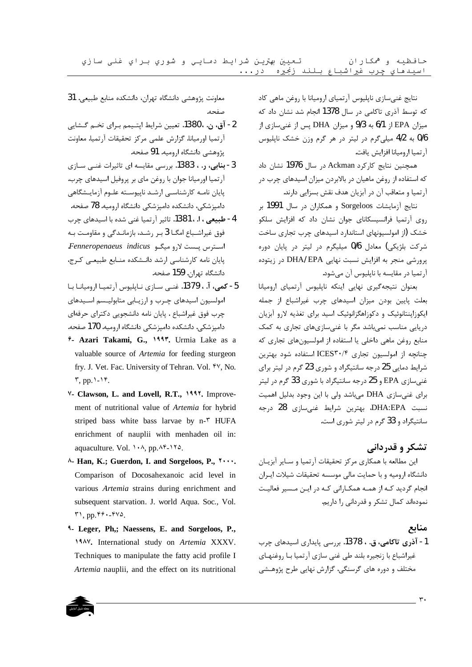تعيين بهترين شرايط دمايي و شوري براي غنى سازي حافظیه و همکاران اسيدهاي چرب غيراشباع بلند زنجيره در...

> نتايج غنيسازي ناپليوس آرتمياي اروميانا با روغن ماهي كاد که توسط آذری تاکامی در سال 1378 انجام شد نشان داد که میزان EPA از 6/1 به 9/3 و میزان DHA پس از غنیسازی از 0/6 به 4/2 میلیگرم در لیتر در هر گرم وزن خشک ناپلیوس آ, تميا ا, وميانا افزايش يافت.

> همچنین نتایج کارکرد Ackman در سال 1976 نشان داد که استفاده از روغن ماهیان در بالابردن میزان اسیدهای چرب در آر تمیا و متعاقب آن در آبزیان هدف نقش بسزایی دارند.

> نتايج آزمايشات Sorgeloos و همكاران در سال 1991 بر روی آرتمیا فرانسیسکانای جوان نشان داد که افزایش سلکو خشک (از امولسیونهای استاندارد اسیدهای چرب تجاری ساخت شرکت بلژیکی) معادل 0/6 میلیگرم در لیتر در پایان دوره پرورشی منجر به افزایش نسبت نهایی DHA/ EPA در زیتوده ۔<br>آرتمیا در مقایسه با ناپلیوس آن مے شود.

> بعنوان نتيجه گيرى نهايى اينكه ناپليوس آرتمياى اروميانا بعلت یایین بودن میزان اسیدهای چرب غیراشباع از جمله ایکوزاپنتانوئیک و دکوزاهگزانوئیک اسید برای تغذیه لارو آبزیان دریایی مناسب نمی باشد مگر با غنی سازی های تجاری به کمک منابع روغن ماهی داخلی یا استفاده از امولسیونهای تجاری که چنانچه از امولسیون تجاری ICES۳۰/۴ استفاده شود بهترین شرایط دمایی 25 درجه سانتیگراد و شوری 23 گرم در لیتر برای غنی سازی EPA و 25 درجه سانتیگراد با شوری 33 گرم در لیتر برای غنی سازی DHA می باشد ولی با این وجود بدلیل اهمیت نسبت DHA:EPA، بهترین شرایط غنی،سازی 28 درجه سانتیگراد و 33 گرم در لیتر شوری است.

#### تشکر و قدردانی

این مطالعه با همکاری مرکز تحقیقات آرتمیا و سـایر آبزیـان دانشگاه ارومیه و با حمایت مالی موسسه تحقیقات شیلات ایـران انجام گردید کـه از همـه همکـارانی کـه در ایـن مـسیر فعالیـت نمودهاند کمال تشکر و قدردانی را داریم.

#### منابع

1- آذري تاکامي، ق. ، 1378. پرسي پايداري اسېدهاي جرب غیراشباع با زنجیره بلند طی غنی سازی آرتمیا بـا روغنهـای مختلف و دوره های گرسنگی. گزارش نهایی طرح پژوهـشی

معاونت پژوهشی دانشگاه تهران، دانشکده منابع طبیعی. 31 صفحه.

- 2- آق، ن. ، 1380. تعيين شرايط اپتـيمم بـراي تخـم گـشايي آرتميا اورميانا. گزارش علمي مركز تحقيقات آرتميا. معاونت یژوهشی دانشگاه ارومیه. 91 صفحه.
- 3- بنابی، ر. ، 1383. بررسی مقایسه ای تاثیرات غنـی سـازی آرتمیا اورمیانا جوان با روغن مای بر پروفیل اسیدهای چرب. یایان نامـه کارشناسـی ارشـد ناییوسـته علـوم آزمایـشگاهی دامیزشکی، دانشکده دامیزشکی دانشگاه ارومیه. 78 صفحه.
- 4  **طبیعی ، ا. ، 1381.** تاثیر آرتمیا غنی شده با اسیدهای چرب فوق غیراشباع امگـا 3 بـر رشـد، بازمانـدگی و مقاومـت بـه استرس پست لارو میگو Fenneropenaeus indicus. پایان نامه کارشناسی ارشد دانـشکده منـابع طبیعـی کـرج، دانشگاه تهران. 159 صفحه.
- 5- كمي، آ. ، 1379. غني سازي نـاپليوس آرتميـا اروميانـا بـا امولسیون اسیدهای چـرب و ارزیـابی متابولیـسم اسـیدهای چرب فوق غیراشباع . پایان نامه دانشجویی دکترای حرفهای دامپزشکی. دانشکده دامپزشکی دانشگاه ارومیه. 170 صفحه.
- 7- Azari Takami, G., 1997. Urmia Lake as a valuable source of Artemia for feeding sturgeon fry. J. Vet. Fac. University of Tehran. Vol. ۴V, No.  $\mathbf{r}$ , pp. 1-14.
- V. Clawson, L. and Lovell, R.T., 1997. Improvement of nutritional value of Artemia for hybrid striped bass white bass larvae by n-<sup>r</sup> HUFA enrichment of nauplii with menhaden oil in: aquaculture. Vol.  $\lambda, pp.$   $\lambda$ <sup>e</sup>- $\lambda$ <sup>2</sup> $\lambda$ .
- ^- Han, K.; Guerdon, I. and Sorgeloos, P., ۲... Comparison of Docosahexanoic acid level in various Artemia strains during enrichment and subsequent starvation. J. world Aqua. Soc., Vol.  $\mathbf{r}$ , pp.  $\mathbf{r}$ .  $\mathbf{r}$ vs.
- <sup>4</sup>- Leger, Ph,; Naessens, E. and Sorgeloos, P., 1949. International study on Artemia XXXV. Techniques to manipulate the fatty acid profile I Artemia nauplii, and the effect on its nutritional

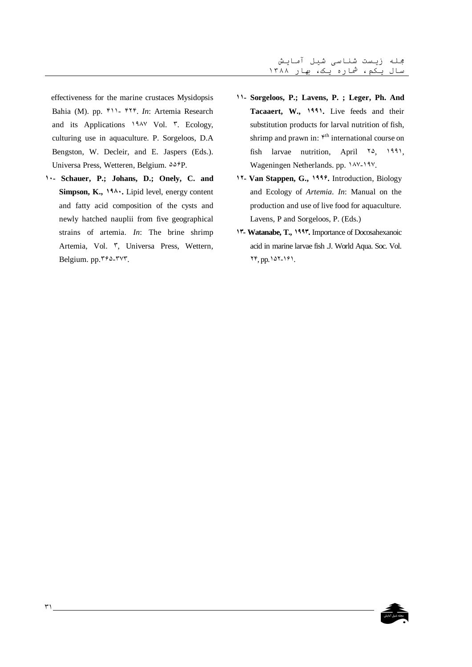effectiveness for the marine crustaces Mysidopsis Bahia (M). pp. F11- FTF. In: Artemia Research and its Applications 194V Vol. T. Ecology, culturing use in aquaculture. P. Sorgeloos, D.A. Bengston, W. Decleir, and E. Jaspers (Eds.). Universa Press, Wetteren, Belgium.  $\Delta \Delta \hat{r}P$ .

<sup>1</sup> · Schauer, P.; Johans, D.; Onely, C. and Simpson, K., 194. Lipid level, energy content and fatty acid composition of the cysts and newly hatched nauplii from five geographical strains of artemia. In: The brine shrimp Artemia, Vol. ", Universa Press, Wettern, Belgium. pp. ٢۶۵-٢٧٣.

- 11- Sorgeloos, P.; Lavens, P.; Leger, Ph. And Tacaaert, W., 1991. Live feeds and their substitution products for larval nutrition of fish, shrimp and prawn in: <sup> $\kappa$ th</sup> international course on fish larvae nutrition, April 10, 1991, Wageningen Netherlands. pp. 14Y-19Y.
- 17- Van Stappen, G., 1999. Introduction, Biology and Ecology of Artemia. In: Manual on the production and use of live food for aquaculture. Lavens, P and Sorgeloos, P. (Eds.)
- **17- Watanabe, T., 1997.** Importance of Docosahexanoic acid in marine larvae fish J. World Aqua. Soc. Vol. ٢۴, pp. ١۵٢-١۶١.